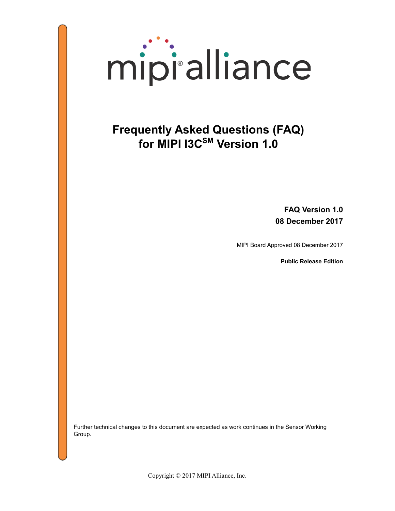

# **Frequently Asked Questions (FAQ) for MIPI I3CSM Version 1.0**

**FAQ Version 1.0 08 December 2017**

MIPI Board Approved 08 December 2017

**Public Release Edition**

Further technical changes to this document are expected as work continues in the Sensor Working Group.

Copyright © 2017 MIPI Alliance, Inc.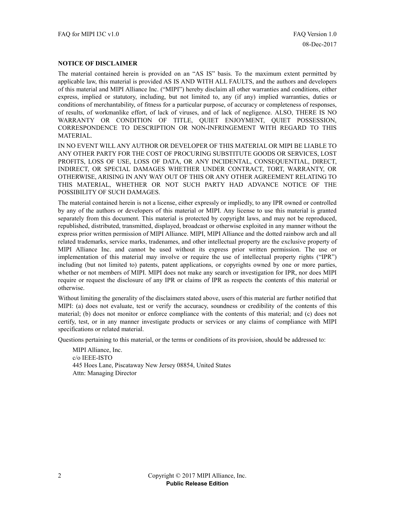#### **NOTICE OF DISCLAIMER**

The material contained herein is provided on an "AS IS" basis. To the maximum extent permitted by applicable law, this material is provided AS IS AND WITH ALL FAULTS, and the authors and developers of this material and MIPI Alliance Inc. ("MIPI") hereby disclaim all other warranties and conditions, either express, implied or statutory, including, but not limited to, any (if any) implied warranties, duties or conditions of merchantability, of fitness for a particular purpose, of accuracy or completeness of responses, of results, of workmanlike effort, of lack of viruses, and of lack of negligence. ALSO, THERE IS NO WARRANTY OR CONDITION OF TITLE, QUIET ENJOYMENT, QUIET POSSESSION, CORRESPONDENCE TO DESCRIPTION OR NON-INFRINGEMENT WITH REGARD TO THIS MATERIAL.

IN NO EVENT WILL ANY AUTHOR OR DEVELOPER OF THIS MATERIAL OR MIPI BE LIABLE TO ANY OTHER PARTY FOR THE COST OF PROCURING SUBSTITUTE GOODS OR SERVICES, LOST PROFITS, LOSS OF USE, LOSS OF DATA, OR ANY INCIDENTAL, CONSEQUENTIAL, DIRECT, INDIRECT, OR SPECIAL DAMAGES WHETHER UNDER CONTRACT, TORT, WARRANTY, OR OTHERWISE, ARISING IN ANY WAY OUT OF THIS OR ANY OTHER AGREEMENT RELATING TO THIS MATERIAL, WHETHER OR NOT SUCH PARTY HAD ADVANCE NOTICE OF THE POSSIBILITY OF SUCH DAMAGES.

The material contained herein is not a license, either expressly or impliedly, to any IPR owned or controlled by any of the authors or developers of this material or MIPI. Any license to use this material is granted separately from this document. This material is protected by copyright laws, and may not be reproduced, republished, distributed, transmitted, displayed, broadcast or otherwise exploited in any manner without the express prior written permission of MIPI Alliance. MIPI, MIPI Alliance and the dotted rainbow arch and all related trademarks, service marks, tradenames, and other intellectual property are the exclusive property of MIPI Alliance Inc. and cannot be used without its express prior written permission. The use or implementation of this material may involve or require the use of intellectual property rights ("IPR") including (but not limited to) patents, patent applications, or copyrights owned by one or more parties, whether or not members of MIPI. MIPI does not make any search or investigation for IPR, nor does MIPI require or request the disclosure of any IPR or claims of IPR as respects the contents of this material or otherwise.

Without limiting the generality of the disclaimers stated above, users of this material are further notified that MIPI: (a) does not evaluate, test or verify the accuracy, soundness or credibility of the contents of this material; (b) does not monitor or enforce compliance with the contents of this material; and (c) does not certify, test, or in any manner investigate products or services or any claims of compliance with MIPI specifications or related material.

Questions pertaining to this material, or the terms or conditions of its provision, should be addressed to:

MIPI Alliance, Inc. c/o IEEE-ISTO 445 Hoes Lane, Piscataway New Jersey 08854, United States Attn: Managing Director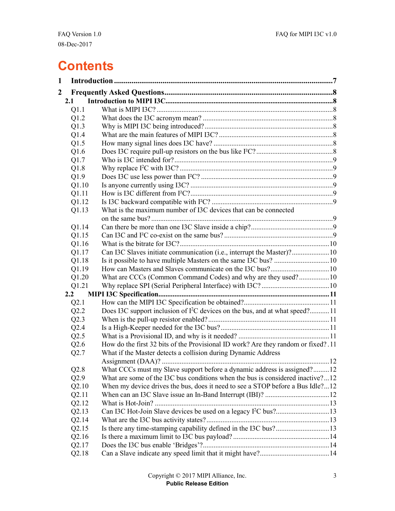# **Contents**

| 1 |              |                                                                                         |  |
|---|--------------|-----------------------------------------------------------------------------------------|--|
| 2 |              |                                                                                         |  |
|   | 2.1          |                                                                                         |  |
|   | Q1.1         |                                                                                         |  |
|   | Q1.2         |                                                                                         |  |
|   | Q1.3         |                                                                                         |  |
|   | Q1.4         |                                                                                         |  |
|   | Q1.5         |                                                                                         |  |
|   | Q1.6         |                                                                                         |  |
|   | Q1.7         |                                                                                         |  |
|   | Q1.8         |                                                                                         |  |
|   | Q1.9         |                                                                                         |  |
|   | Q1.10        |                                                                                         |  |
|   | Q1.11        |                                                                                         |  |
|   | Q1.12        |                                                                                         |  |
|   | Q1.13        | What is the maximum number of I3C devices that can be connected                         |  |
|   |              |                                                                                         |  |
|   | Q1.14        |                                                                                         |  |
|   | Q1.15        |                                                                                         |  |
|   | Q1.16        |                                                                                         |  |
|   | Q1.17        |                                                                                         |  |
|   | Q1.18        |                                                                                         |  |
|   | Q1.19        |                                                                                         |  |
|   | Q1.20        |                                                                                         |  |
|   | Q1.21        |                                                                                         |  |
|   | 2.2          |                                                                                         |  |
|   | Q2.1         |                                                                                         |  |
|   | Q2.2         | Does I3C support inclusion of I <sup>2</sup> C devices on the bus, and at what speed?11 |  |
|   | Q2.3         |                                                                                         |  |
|   | Q2.4         |                                                                                         |  |
|   | Q2.5         | How do the first 32 bits of the Provisional ID work? Are they random or fixed? .11      |  |
|   | Q2.6<br>Q2.7 | What if the Master detects a collision during Dynamic Address                           |  |
|   |              |                                                                                         |  |
|   | Q2.8         | What CCCs must my Slave support before a dynamic address is assigned?12                 |  |
|   | Q2.9         | What are some of the I3C bus conditions when the bus is considered inactive?12          |  |
|   | Q2.10        | When my device drives the bus, does it need to see a STOP before a Bus Idle?12          |  |
|   | Q2.11        |                                                                                         |  |
|   | Q2.12        |                                                                                         |  |
|   | Q2.13        | Can I3C Hot-Join Slave devices be used on a legacy I <sup>2</sup> C bus?13              |  |
|   | Q2.14        |                                                                                         |  |
|   | Q2.15        | Is there any time-stamping capability defined in the I3C bus?13                         |  |
|   | Q2.16        |                                                                                         |  |
|   | Q2.17        |                                                                                         |  |
|   | Q2.18        |                                                                                         |  |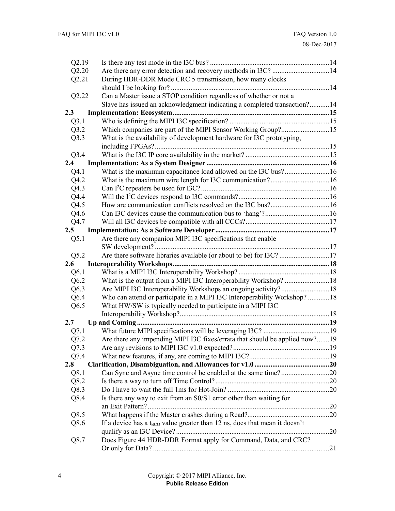| Q2.19 |                                                                                        |  |
|-------|----------------------------------------------------------------------------------------|--|
| Q2.20 | Are there any error detection and recovery methods in I3C? 14                          |  |
| Q2.21 | During HDR-DDR Mode CRC 5 transmission, how many clocks                                |  |
|       |                                                                                        |  |
| Q2.22 | Can a Master issue a STOP condition regardless of whether or not a                     |  |
|       | Slave has issued an acknowledgment indicating a completed transaction?14               |  |
| 2.3   |                                                                                        |  |
| Q3.1  |                                                                                        |  |
| Q3.2  | Which companies are part of the MIPI Sensor Working Group?15                           |  |
| Q3.3  | What is the availability of development hardware for I3C prototyping,                  |  |
|       |                                                                                        |  |
| Q3.4  |                                                                                        |  |
| 2.4   |                                                                                        |  |
| Q4.1  | What is the maximum capacitance load allowed on the I3C bus?16                         |  |
| Q4.2  |                                                                                        |  |
| Q4.3  |                                                                                        |  |
| Q4.4  |                                                                                        |  |
| Q4.5  |                                                                                        |  |
| Q4.6  |                                                                                        |  |
| Q4.7  |                                                                                        |  |
| 2.5   |                                                                                        |  |
| Q5.1  | Are there any companion MIPI I3C specifications that enable                            |  |
|       |                                                                                        |  |
| Q5.2  |                                                                                        |  |
| 2.6   |                                                                                        |  |
| Q6.1  |                                                                                        |  |
| Q6.2  |                                                                                        |  |
| Q6.3  |                                                                                        |  |
| Q6.4  | Who can attend or participate in a MIPI I3C Interoperability Workshop?18               |  |
| Q6.5  | What HW/SW is typically needed to participate in a MIPI I3C                            |  |
|       |                                                                                        |  |
| 2.7   |                                                                                        |  |
| Q7.1  |                                                                                        |  |
| Q7.2  | Are there any impending MIPI I3C fixes/errata that should be applied now?19            |  |
| Q7.3  |                                                                                        |  |
| Q7.4  |                                                                                        |  |
| 2.8   |                                                                                        |  |
| Q8.1  | Can Sync and Async time control be enabled at the same time?20                         |  |
| Q8.2  |                                                                                        |  |
| Q8.3  |                                                                                        |  |
| Q8.4  | Is there any way to exit from an S0/S1 error other than waiting for                    |  |
|       |                                                                                        |  |
| Q8.5  |                                                                                        |  |
| Q8.6  | If a device has a $t_{\text{SCO}}$ value greater than 12 ns, does that mean it doesn't |  |
|       |                                                                                        |  |
| Q8.7  | Does Figure 44 HDR-DDR Format apply for Command, Data, and CRC?                        |  |
|       |                                                                                        |  |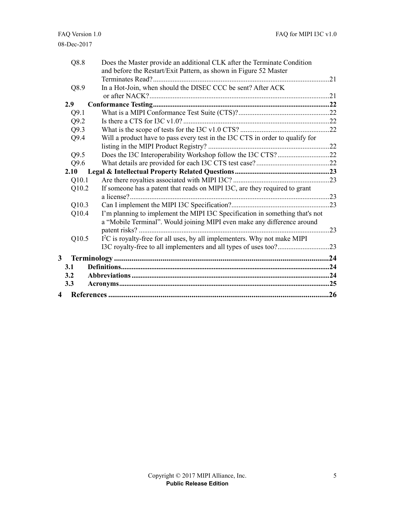08-Dec-2017

| 4 |              |                                                                                       |    |
|---|--------------|---------------------------------------------------------------------------------------|----|
|   | 3.3          |                                                                                       |    |
|   | 3.2          |                                                                                       |    |
|   | 3.1          |                                                                                       |    |
| 3 |              |                                                                                       |    |
|   |              |                                                                                       |    |
|   | Q10.5        | I <sup>2</sup> C is royalty-free for all uses, by all implementers. Why not make MIPI |    |
|   |              | a "Mobile Terminal". Would joining MIPI even make any difference around               | 23 |
|   | Q10.4        | I'm planning to implement the MIPI I3C Specification in something that's not          |    |
|   | Q10.3        |                                                                                       |    |
|   |              |                                                                                       |    |
|   | Q10.2        | If someone has a patent that reads on MIPI I3C, are they required to grant            |    |
|   | Q10.1        |                                                                                       |    |
|   | 2.10         |                                                                                       |    |
|   | Q9.6         |                                                                                       |    |
|   | Q9.5         |                                                                                       |    |
|   |              |                                                                                       |    |
|   | Q9.4         | Will a product have to pass every test in the I3C CTS in order to qualify for         |    |
|   | Q9.2<br>Q9.3 |                                                                                       |    |
|   | Q9.1         |                                                                                       |    |
|   | 2.9          |                                                                                       |    |
|   |              |                                                                                       |    |
|   | Q8.9         | In a Hot-Join, when should the DISEC CCC be sent? After ACK                           |    |
|   |              | and before the Restart/Exit Pattern, as shown in Figure 52 Master                     |    |
|   | Q8.8         | Does the Master provide an additional CLK after the Terminate Condition               |    |
|   |              |                                                                                       |    |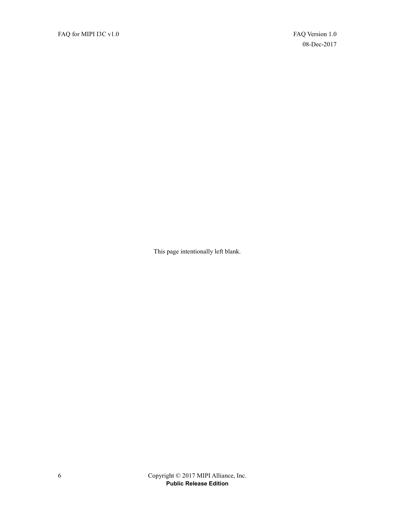This page intentionally left blank.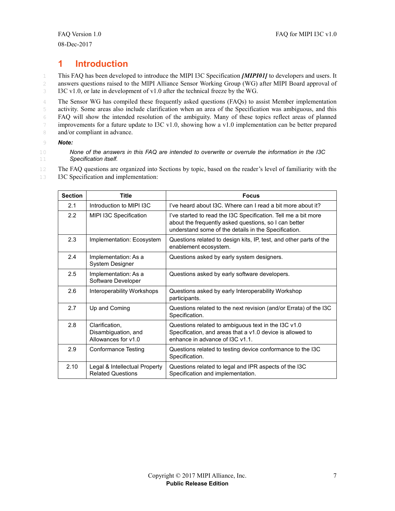# <span id="page-6-0"></span>**1 Introduction**

1 This FAQ has been developed to introduce the MIPI I3C Specification *[\[MIPI01\]](#page-25-1)* to developers and users. It 2 answers questions raised to the MIPI Alliance Sensor Working Group (WG) after MIPI Board approval of 3 I3C v1.0, or late in development of v1.0 after the technical freeze by the WG.

 The Sensor WG has compiled these frequently asked questions (FAQs) to assist Member implementation activity. Some areas also include clarification when an area of the Specification was ambiguous, and this FAQ will show the intended resolution of the ambiguity. Many of these topics reflect areas of planned improvements for a future update to I3C v1.0, showing how a v1.0 implementation can be better prepared 8 and/or compliant in advance.

9 *Note:*

10 *None of the answers in this FAQ are intended to overwrite or overrule the information in the I3C*  11 *Specification itself.*

12 The FAQ questions are organized into Sections by topic, based on the reader's level of familiarity with the

13 I3C Specification and implementation:

| <b>Section</b> | <b>Title</b>                                                 | <b>Focus</b>                                                                                                                                                                    |  |
|----------------|--------------------------------------------------------------|---------------------------------------------------------------------------------------------------------------------------------------------------------------------------------|--|
| 2.1            | Introduction to MIPI I3C                                     | I've heard about I3C. Where can I read a bit more about it?                                                                                                                     |  |
| 2.2            | MIPI I3C Specification                                       | I've started to read the I3C Specification. Tell me a bit more<br>about the frequently asked questions, so I can better<br>understand some of the details in the Specification. |  |
| 2.3            | Implementation: Ecosystem                                    | Questions related to design kits, IP, test, and other parts of the<br>enablement ecosystem.                                                                                     |  |
| 2.4            | Implementation: As a<br>System Designer                      | Questions asked by early system designers.                                                                                                                                      |  |
| 2.5            | Implementation: As a<br>Software Developer                   | Questions asked by early software developers.                                                                                                                                   |  |
| 2.6            | Interoperability Workshops                                   | Questions asked by early Interoperability Workshop<br>participants.                                                                                                             |  |
| 2.7            | Up and Coming                                                | Questions related to the next revision (and/or Errata) of the I3C<br>Specification.                                                                                             |  |
| 2.8            | Clarification,<br>Disambiguation, and<br>Allowances for v1.0 | Questions related to ambiguous text in the I3C v1.0<br>Specification, and areas that a v1.0 device is allowed to<br>enhance in advance of I3C v1.1.                             |  |
| 2.9            | <b>Conformance Testing</b>                                   | Questions related to testing device conformance to the I3C<br>Specification.                                                                                                    |  |
| 2.10           | Legal & Intellectual Property<br><b>Related Questions</b>    | Questions related to legal and IPR aspects of the I3C<br>Specification and implementation.                                                                                      |  |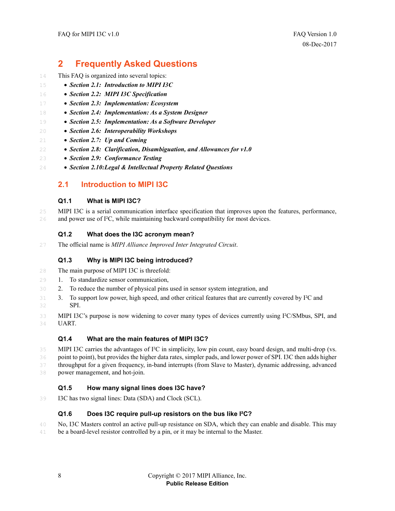# <span id="page-7-0"></span>**Frequently Asked Questions**

- This FAQ is organized into several topics:
- *Section [2.1:](#page-7-1) [Introduction to MIPI I3C](#page-7-1)*
- *Section [2.2:](#page-10-0) [MIPI I3C Specification](#page-10-0)*
- *Section [2.3:](#page-14-0) [Implementation: Ecosystem](#page-14-0)*
- *Section [2.4:](#page-15-0) [Implementation: As a System Designer](#page-15-0)*
- *Section [2.5:](#page-16-1) [Implementation: As a Software Developer](#page-16-1)*
- *Section [2.6:](#page-17-0) [Interoperability Workshops](#page-17-0)*
- *Section [2.7:](#page-18-0) [Up and Coming](#page-18-0)*
- *Section [2.8:](#page-19-0) [Clarification, Disambiguation, and Allowances for v1.0](#page-19-0)*
- *Section [2.9:](#page-21-0) [Conformance Testing](#page-21-0)*
- *Section [2.10:Legal & Intellectual Property Related Questions](#page-22-0)*

# <span id="page-7-1"></span>**2.1 Introduction to MIPI I3C**

#### <span id="page-7-2"></span>**Q1.1 What is MIPI I3C?**

MIPI I3C is a serial communication interface specification that improves upon the features, performance,

and power use of I²C, while maintaining backward compatibility for most devices.

#### <span id="page-7-3"></span>**Q1.2 What does the I3C acronym mean?**

The official name is *MIPI Alliance Improved Inter Integrated Circuit*.

# <span id="page-7-4"></span>**Q1.3 Why is MIPI I3C being introduced?**

- The main purpose of MIPI I3C is threefold:
- 1. To standardize sensor communication,
- 2. To reduce the number of physical pins used in sensor system integration, and
- 3. To support low power, high speed, and other critical features that are currently covered by I²C and SPI.

 MIPI I3C's purpose is now widening to cover many types of devices currently using I²C/SMbus, SPI, and UART.

# <span id="page-7-5"></span>**Q1.4 What are the main features of MIPI I3C?**

35 MIPI I3C carries the advantages of I<sup>2</sup>C in simplicity, low pin count, easy board design, and multi-drop (vs. 36 point to point), but provides the higher data rates, simpler pads, and lower power of SPI. I3C then adds h

36 point to point), but provides the higher data rates, simpler pads, and lower power of SPI. I3C then adds higher<br>37 throughput for a given frequency in-band interrupts (from Slave to Master), dynamic addressing, advanced

37 throughput for a given frequency, in-band interrupts (from Slave to Master), dynamic addressing, advanced power management, and hot-join.

power management, and hot-join.

# <span id="page-7-6"></span>**Q1.5 How many signal lines does I3C have?**

I3C has two signal lines: Data (SDA) and Clock (SCL).

# <span id="page-7-7"></span>**Q1.6 Does I3C require pull-up resistors on the bus like I²C?**

- No, I3C Masters control an active pull-up resistance on SDA, which they can enable and disable. This may
- be a board-level resistor controlled by a pin, or it may be internal to the Master.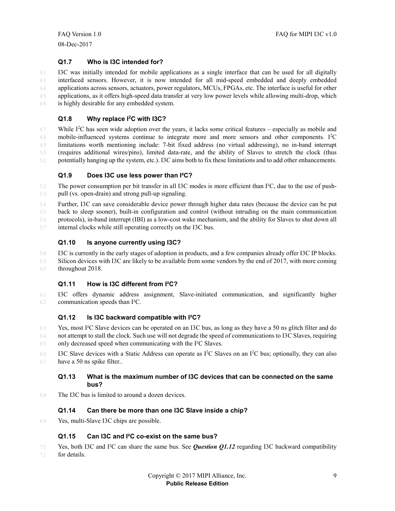08-Dec-2017

#### <span id="page-8-0"></span>**Q1.7 Who is I3C intended for?**

 I3C was initially intended for mobile applications as a single interface that can be used for all digitally interfaced sensors. However, it is now intended for all mid-speed embedded and deeply embedded applications across sensors, actuators, power regulators, MCUs, FPGAs, etc. The interface is useful for other applications, as it offers high-speed data transfer at very low power levels while allowing multi-drop, which is highly desirable for any embedded system.

#### <span id="page-8-1"></span>**Q1.8 Why replace I2C with I3C?**

47 While I<sup>2</sup>C has seen wide adoption over the years, it lacks some critical features – especially as mobile and 48 mobile-influenced systems continue to integrate more and more sensors and other components. I<sup>2</sup>C 49 limitations worth mentioning include: 7-bit fixed address (no virtual addressing), no in-band interrupt 50 (requires additional wires/pins), limited data-rate, and the ability of Slaves to stretch the clock (thus 51 potentially hanging up the system, etc.). I3C aims both to fix these limitations and to add other enhancements.

#### <span id="page-8-2"></span>**Q1.9 Does I3C use less power than I²C?**

- 52 The power consumption per bit transfer in all I3C modes is more efficient than I²C, due to the use of push-53 pull (vs. open-drain) and strong pull-up signaling.
- 54 Further, I3C can save considerable device power through higher data rates (because the device can be put 55 back to sleep sooner), built-in configuration and control (without intruding on the main communication 56 protocols), in-band interrupt (IBI) as a low-cost wake mechanism, and the ability for Slaves to shut down all internal clocks while still operating correctly on the I3C bus
- internal clocks while still operating correctly on the I3C bus.

#### <span id="page-8-3"></span>**Q1.10 Is anyone currently using I3C?**

- 58 I3C is currently in the early stages of adoption in products, and a few companies already offer I3C IP blocks.
- 59 Silicon devices with I3C are likely to be available from some vendors by the end of 2017, with more coming
- 60 throughout 2018.

#### <span id="page-8-4"></span>**Q1.11 How is I3C different from I²C?**

61 I3C offers dynamic address assignment, Slave-initiated communication, and significantly higher 62 communication speeds than I²C.

#### <span id="page-8-5"></span>**Q1.12 Is I3C backward compatible with I²C?**

63 Yes, most I²C Slave devices can be operated on an I3C bus, as long as they have a 50 ns glitch filter and do 64 not attempt to stall the clock. Such use will not degrade the speed of communications to I3C Slaves, requiring 65 only decreased speed when communicating with the I²C Slaves.

66 I3C Slave devices with a Static Address can operate as  $I^2C$  Slaves on an  $I^2C$  bus; optionally, they can also 67 have a 50 ns spike filter..

#### <span id="page-8-6"></span>**Q1.13 What is the maximum number of I3C devices that can be connected on the same bus?**

68 The I3C bus is limited to around a dozen devices.

#### <span id="page-8-7"></span>**Q1.14 Can there be more than one I3C Slave inside a chip?**

69 Yes, multi-Slave I3C chips are possible.

#### <span id="page-8-8"></span>**Q1.15 Can I3C and I²C co-exist on the same bus?**

- 70 Yes, both I3C and I²C can share the same bus. See *Question [Q1.12](#page-8-5)* regarding I3C backward compatibility
- 71 for details.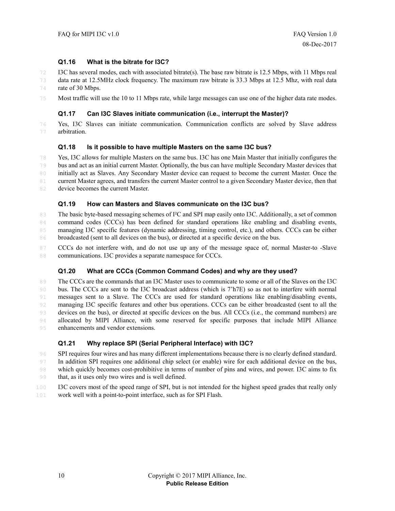#### <span id="page-9-0"></span>**Q1.16 What is the bitrate for I3C?**

72 I3C has several modes, each with associated bitrate(s). The base raw bitrate is 12.5 Mbps, with 11 Mbps real

- 73 data rate at 12.5MHz clock frequency. The maximum raw bitrate is 33.3 Mbps at 12.5 Mhz, with real data 74 rate of 30 Mbps.
- 75 Most traffic will use the 10 to 11 Mbps rate, while large messages can use one of the higher data rate modes.

#### <span id="page-9-1"></span>**Q1.17 Can I3C Slaves initiate communication (i.e., interrupt the Master)?**

76 Yes, I3C Slaves can initiate communication. Communication conflicts are solved by Slave address 77 arbitration.

#### <span id="page-9-2"></span>**Q1.18 Is it possible to have multiple Masters on the same I3C bus?**

78 Yes, I3C allows for multiple Masters on the same bus. I3C has one Main Master that initially configures the 79 bus and act as an initial current Master. Optionally, the bus can have multiple Secondary Master devices that 80 initially act as Slaves. Any Secondary Master device can request to become the current Master. Once the 81 current Master agrees, and transfers the current Master control to a given Secondary Master device, then that 82 device becomes the current Master.

#### <span id="page-9-3"></span>**Q1.19 How can Masters and Slaves communicate on the I3C bus?**

83 The basic byte-based messaging schemes of I<sup>2</sup>C and SPI map easily onto I3C. Additionally, a set of common 84 command codes (CCCs) has been defined for standard operations like enabling and disabling events, 85 managing I3C specific features (dynamic addressing, timing control, etc.), and others. CCCs can be either broadcasted (sent to all devices on the bus), or directed at a specific device on the bus. broadcasted (sent to all devices on the bus), or directed at a specific device on the bus.

87 CCCs do not interfere with, and do not use up any of the message space of, normal Master-to -Slave 88 communications. I3C provides a separate namespace for CCCs.

#### <span id="page-9-4"></span>**Q1.20 What are CCCs (Common Command Codes) and why are they used?**

89 The CCCs are the commands that an I3C Master uses to communicate to some or all of the Slaves on the I3C bus. The CCCs are sent to the I3C broadcast address (which is 7'h7E) so as not to interfere with normal messages sent to a Slave. The CCCs are used for standard operations like enabling/disabling events, managing I3C specific features and other bus operations. CCCs can be either broadcasted (sent to all the devices on the bus), or directed at specific devices on the bus. All CCCs (i.e., the command numbers) are allocated by MIPI Alliance, with some reserved for specific purposes that include MIPI Alliance enhancements and vendor extensions.

#### <span id="page-9-5"></span>**Q1.21 Why replace SPI (Serial Peripheral Interface) with I3C?**

96 SPI requires four wires and has many different implementations because there is no clearly defined standard. 97 In addition SPI requires one additional chip select (or enable) wire for each additional device on the bus, 98 which quickly becomes cost-prohibitive in terms of number of pins and wires, and power. I3C aims to fix that as it uses only two wires and is well defined. that, as it uses only two wires and is well defined.

100 I3C covers most of the speed range of SPI, but is not intended for the highest speed grades that really only 101 work well with a point-to-point interface, such as for SPI Flash.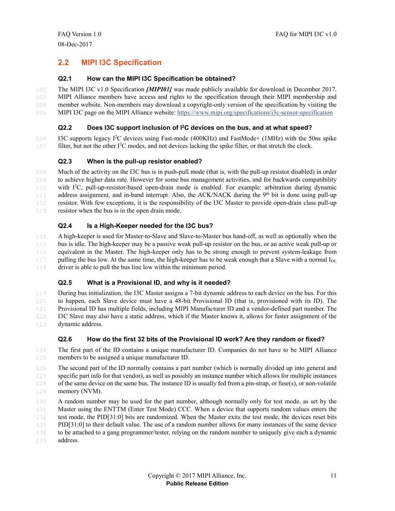# <span id="page-10-0"></span>**2.2 MIPI I3C Specification**

#### <span id="page-10-1"></span>**Q2.1 How can the MIPI I3C Specification be obtained?**

 The MIPI I3C v1.0 Specification *[\[MIPI01\]](#page-25-1)* was made publicly available for download in December 2017. MIPI Alliance members have access and rights to the specification through their MIPI membership and member website. Non-members may download a copyright-only version of the specification by visiting the 105 MIPI I3C page on the MIPI Alliance website:<https://www.mipi.org/specifications/i3c-sensor-specification>

#### <span id="page-10-2"></span>**Q2.2 Does I3C support inclusion of I2C devices on the bus, and at what speed?**

106 I3C supports legacy I<sup>2</sup>C devices using Fast-mode (400KHz) and FastMode+ (1MHz) with the 50ns spike 107 filter, but not the other I<sup>2</sup>C modes, and not devices lacking the spike filter, or that stretch the clock.

#### <span id="page-10-3"></span>**Q2.3 When is the pull-up resistor enabled?**

 Much of the activity on the I3C bus is in push-pull mode (that is, with the pull-up resistor disabled) in order to achieve higher data rate. However for some bus management activities, and for backwards compatibility 110 with I<sup>2</sup>C, pull-up-resistor-based open-drain mode is enabled. For example: arbitration during dynamic 111 address assignment, and in-band interrupt. Also, the ACK/NACK during the 9<sup>th</sup> bit is done using pull-up resistor. With few exceptions, it is the responsibility of the I3C Master to provide open-drain class pull-up resistor when the bus is in the open drain mode.

#### <span id="page-10-4"></span>**Q2.4 Is a High-Keeper needed for the I3C bus?**

 A high-keeper is used for Master-to-Slave and Slave-to-Master bus hand-off, as well as optionally when the bus is idle. The high-keeper may be a passive weak pull-up resistor on the bus, or an active weak pull-up or equivalent in the Master. The high-keeper only has to be strong enough to prevent system-leakage from 117 pulling the bus low. At the same time, the high-keeper has to be weak enough that a Slave with a normal I<sub>OL</sub> driver is able to pull the bus line low within the minimum period.

#### <span id="page-10-5"></span>**Q2.5 What is a Provisional ID, and why is it needed?**

 During bus initialization, the I3C Master assigns a 7-bit dynamic address to each device on the bus. For this to happen, each Slave device must have a 48-bit Provisional ID (that is, provisioned with its ID). The Provisional ID has multiple fields, including MIPI Manufacturer ID and a vendor-defined part number. The 122 I3C Slave may also have a static address, which if the Master knows it, allows for faster assignment of the dynamic address.

#### <span id="page-10-6"></span>**Q2.6 How do the first 32 bits of the Provisional ID work? Are they random or fixed?**

124 The first part of the ID contains a unique manufacturer ID. Companies do not have to be MIPI Alliance<br>125 members to be assigned a unique manufacturer ID. members to be assigned a unique manufacturer ID.

 The second part of the ID normally contains a part number (which is normally divided up into general and specific part info for that vendor), as well as possibly an instance number which allows for multiple instances of the same device on the same bus. The instance ID is usually fed from a pin-strap, or fuse(s), or non-volatile memory (NVM).

 A random number may be used for the part number, although normally only for test mode, as set by the Master using the ENTTM (Enter Test Mode) CCC. When a device that supports random values enters the test mode, the PID[31:0] bits are randomized. When the Master exits the test mode, the devices reset bits PID[31:0] to their default value. The use of a random number allows for many instances of the same device

134 to be attached to a gang programmer/tester, relying on the random number to uniquely give each a dynamic

135 address.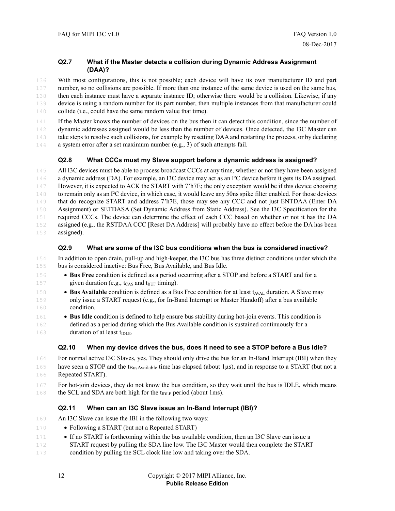#### <span id="page-11-0"></span>**Q2.7 What if the Master detects a collision during Dynamic Address Assignment (DAA)?**

 With most configurations, this is not possible; each device will have its own manufacturer ID and part 137 number, so no collisions are possible. If more than one instance of the same device is used on the same bus, then each instance must have a separate instance ID; otherwise there would be a collision. Likewise, if any device is using a random number for its part number, then multiple instances from that manufacturer could collide (i.e., could have the same random value that time).

 If the Master knows the number of devices on the bus then it can detect this condition, since the number of dynamic addresses assigned would be less than the number of devices. Once detected, the I3C Master can take steps to resolve such collisions, for example by resetting DAA and restarting the process, or by declaring a system error after a set maximum number (e.g., 3) of such attempts fail.

#### <span id="page-11-1"></span>**Q2.8 What CCCs must my Slave support before a dynamic address is assigned?**

 All I3C devices must be able to process broadcast CCCs at any time, whether or not they have been assigned 146 a dynamic address (DA). For example, an I3C device may act as an I<sup>2</sup>C device before it gets its DA assigned. However, it is expected to ACK the START with 7'h7E; the only exception would be if this device choosing to remain only as an I²C device, in which case, it would leave any 50ns spike filter enabled. For those devices that do recognize START and address 7'h7E, those may see any CCC and not just ENTDAA (Enter DA Assignment) or SETDASA (Set Dynamic Address from Static Address). See the I3C Specification for the required CCCs. The device can determine the effect of each CCC based on whether or not it has the DA assigned (e.g., the RSTDAA CCC [Reset DA Address] will probably have no effect before the DA has been assigned).

#### <span id="page-11-2"></span>**Q2.9 What are some of the I3C bus conditions when the bus is considered inactive?**

 In addition to open drain, pull-up and high-keeper, the I3C bus has three distinct conditions under which the bus is considered inactive: Bus Free, Bus Available, and Bus Idle.

- **Bus Free** condition is defined as a period occurring after a STOP and before a START and for a 157 given duration (e.g., t<sub>CAS</sub> and t<sub>BUF</sub> timing).
- **Bus Available** condition is defined as a Bus Free condition for at least t<sub>AVAL</sub> duration. A Slave may only issue a START request (e.g., for In-Band Interrupt or Master Handoff) after a bus available condition.
- **Bus Idle** condition is defined to help ensure bus stability during hot-join events. This condition is defined as a period during which the Bus Available condition is sustained continuously for a 163 duration of at least t<sub>IDLE</sub>.

# <span id="page-11-3"></span>**Q2.10 When my device drives the bus, does it need to see a STOP before a Bus Idle?**

 For normal active I3C Slaves, yes. They should only drive the bus for an In-Band Interrupt (IBI) when they have seen a STOP and the tBusAvailable time has elapsed (about 1µs), and in response to a START (but not a Repeated START).

 For hot-join devices, they do not know the bus condition, so they wait until the bus is IDLE, which means 168 the SCL and SDA are both high for the t<sub>IDLE</sub> period (about 1ms).

# <span id="page-11-4"></span>**Q2.11 When can an I3C Slave issue an In-Band Interrupt (IBI)?**

| 169 | An I3C Slave can issue the IBI in the following two ways: |
|-----|-----------------------------------------------------------|
|-----|-----------------------------------------------------------|

- 170 Following a START (but not a Repeated START)
- <sup>171</sup> If no START is forthcoming within the bus available condition, then an I3C Slave can issue a START request by pulling the SDA line low. The I3C Master would then complete the START condition by pulling the SCL clock line low and taking over the SDA.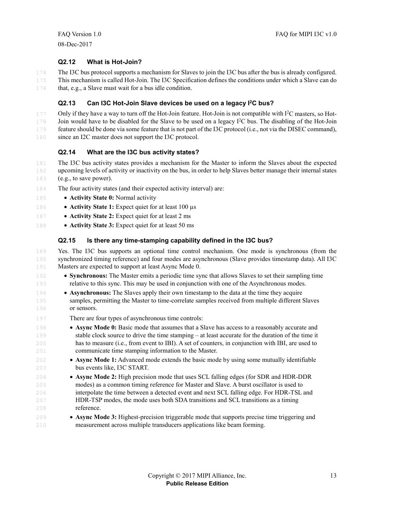#### <span id="page-12-0"></span>**Q2.12 What is Hot-Join?**

 The I3C bus protocol supports a mechanism for Slaves to join the I3C bus after the bus is already configured. This mechanism is called Hot-Join. The I3C Specification defines the conditions under which a Slave can do that, e.g., a Slave must wait for a bus idle condition.

#### <span id="page-12-1"></span>**Q2.13 Can I3C Hot-Join Slave devices be used on a legacy I2C bus?**

- Only if they have a way to turn off the Hot-Join feature. Hot-Join is not compatible with I<sup>2</sup>C masters, so Hot-
- 178 Join would have to be disabled for the Slave to be used on a legacy I<sup>2</sup>C bus. The disabling of the Hot-Join

feature should be done via some feature that is not part of the I3C protocol (i.e., not via the DISEC command),

180 since an I2C master does not support the I3C protocol.

#### <span id="page-12-2"></span>**Q2.14 What are the I3C bus activity states?**

- The I3C bus activity states provides a mechanism for the Master to inform the Slaves about the expected upcoming levels of activity or inactivity on the bus, in order to help Slaves better manage their internal states (e.g., to save power).
- The four activity states (and their expected activity interval) are:
- **Activity State 0:** Normal activity
- 186 **Activity State 1:** Expect quiet for at least 100  $\mu$ s
- 187 **Activity State 2:** Expect quiet for at least 2 ms
- 188 **Activity State 3:** Expect quiet for at least 50 ms

#### <span id="page-12-3"></span>**Q2.15 Is there any time-stamping capability defined in the I3C bus?**

 Yes. The I3C bus supports an optional time control mechanism. One mode is synchronous (from the synchronized timing reference) and four modes are asynchronous (Slave provides timestamp data). All I3C Masters are expected to support at least Async Mode 0.

- **Synchronous:** The Master emits a periodic time sync that allows Slaves to set their sampling time relative to this sync. This may be used in conjunction with one of the Asynchronous modes.
- **Asynchronous:** The Slaves apply their own timestamp to the data at the time they acquire samples, permitting the Master to time-correlate samples received from multiple different Slaves or sensors.
- There are four types of asynchronous time controls:
- 198 **Async Mode 0:** Basic mode that assumes that a Slave has access to a reasonably accurate and stable clock source to drive the time stamping – at least accurate for the duration of the time it has to measure (i.e., from event to IBI). A set of counters, in conjunction with IBI, are used to communicate time stamping information to the Master.
- **Async Mode 1:** Advanced mode extends the basic mode by using some mutually identifiable bus events like, I3C START.
- **Async Mode 2:** High precision mode that uses SCL falling edges (for SDR and HDR-DDR modes) as a common timing reference for Master and Slave. A burst oscillator is used to interpolate the time between a detected event and next SCL falling edge. For HDR-TSL and HDR-TSP modes, the mode uses both SDA transitions and SCL transitions as a timing reference.
- **Async Mode 3:** Highest-precision triggerable mode that supports precise time triggering and<br>210 **•••** measurement across multiple transducers applications like beam forming measurement across multiple transducers applications like beam forming.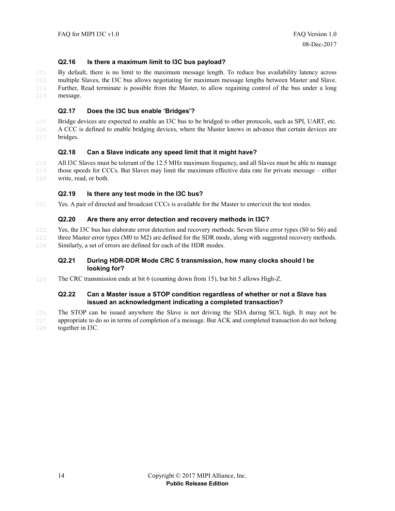#### <span id="page-13-0"></span>**Q2.16 Is there a maximum limit to I3C bus payload?**

 By default, there is no limit to the maximum message length. To reduce bus availability latency across multiple Slaves, the I3C bus allows negotiating for maximum message lengths between Master and Slave. Further, Read terminate is possible from the Master, to allow regaining control of the bus under a long 214 message.

#### <span id="page-13-1"></span>**Q2.17 Does the I3C bus enable 'Bridges'?**

215 Bridge devices are expected to enable an I3C bus to be bridged to other protocols, such as SPI, UART, etc. 216 A CCC is defined to enable bridging devices, where the Master knows in advance that certain devices are bridges. bridges.

#### <span id="page-13-2"></span>**Q2.18 Can a Slave indicate any speed limit that it might have?**

218 All I3C Slaves must be tolerant of the 12.5 MHz maximum frequency, and all Slaves must be able to manage 219 those speeds for CCCs. But Slaves may limit the maximum effective data rate for private message – either 220 write, read, or both.

#### <span id="page-13-3"></span>**Q2.19 Is there any test mode in the I3C bus?**

221 Yes. A pair of directed and broadcast CCCs is available for the Master to enter/exit the test modes.

#### <span id="page-13-4"></span>**Q2.20 Are there any error detection and recovery methods in I3C?**

222 Yes, the I3C bus has elaborate error detection and recovery methods. Seven Slave error types (S0 to S6) and 223 three Master error types (M0 to M2) are defined for the SDR mode, along with suggested recovery methods.

224 Similarly, a set of errors are defined for each of the HDR modes.

#### <span id="page-13-5"></span>**Q2.21 During HDR-DDR Mode CRC 5 transmission, how many clocks should I be looking for?**

225 The CRC transmission ends at bit 6 (counting down from 15), but bit 5 allows High-Z.

#### <span id="page-13-6"></span>**Q2.22 Can a Master issue a STOP condition regardless of whether or not a Slave has issued an acknowledgment indicating a completed transaction?**

226 The STOP can be issued anywhere the Slave is not driving the SDA during SCL high. It may not be 227 appropriate to do so in terms of completion of a message. But ACK and completed transaction do not belong 228 together in I3C.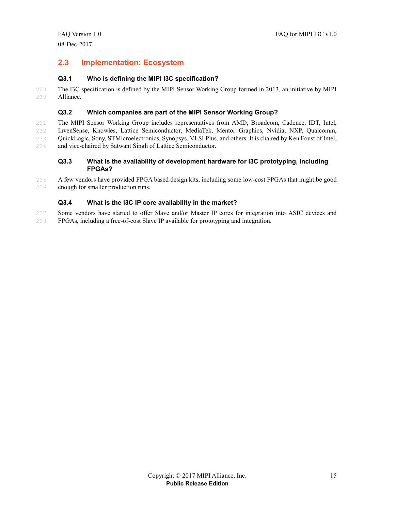08-Dec-2017

# <span id="page-14-1"></span><span id="page-14-0"></span>**2.3 Implementation: Ecosystem**

#### **Q3.1 Who is defining the MIPI I3C specification?**

229 The I3C specification is defined by the MIPI Sensor Working Group formed in 2013, an initiative by MIPI 230 Alliance.

#### <span id="page-14-2"></span>**Q3.2 Which companies are part of the MIPI Sensor Working Group?**

 The MIPI Sensor Working Group includes representatives from AMD, Broadcom, Cadence, IDT, Intel, InvenSense, Knowles, Lattice Semiconductor, MediaTek, Mentor Graphics, Nvidia, NXP, Qualcomm, QuickLogic, Sony, STMicroelectronics, Synopsys, VLSI Plus, and others. It is chaired by Ken Foust of Intel, and vice-chaired by Satwant Singh of Lattice Semiconductor.

#### <span id="page-14-3"></span>**Q3.3 What is the availability of development hardware for I3C prototyping, including FPGAs?**

- 235 A few vendors have provided FPGA based design kits, including some low-cost FPGAs that might be good<br>236 enough for smaller production runs.
- enough for smaller production runs.

#### <span id="page-14-4"></span>**Q3.4 What is the I3C IP core availability in the market?**

237 Some vendors have started to offer Slave and/or Master IP cores for integration into ASIC devices and 238 FPGAs, including a free-of-cost Slave IP available for prototyping and integration.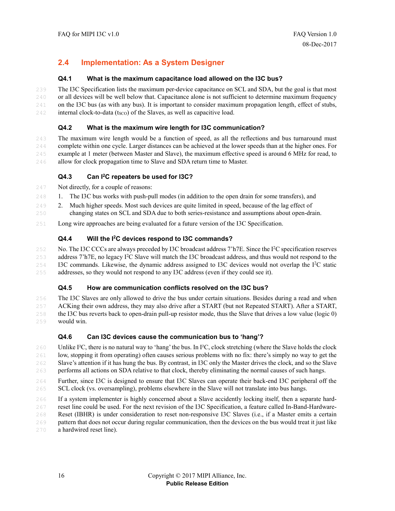# <span id="page-15-0"></span>**2.4 Implementation: As a System Designer**

#### <span id="page-15-1"></span>**Q4.1 What is the maximum capacitance load allowed on the I3C bus?**

 The I3C Specification lists the maximum per-device capacitance on SCL and SDA, but the goal is that most or all devices will be well below that. Capacitance alone is not sufficient to determine maximum frequency on the I3C bus (as with any bus). It is important to consider maximum propagation length, effect of stubs, 242 internal clock-to-data ( $t_{\text{SCO}}$ ) of the Slaves, as well as capacitive load.

#### <span id="page-15-2"></span>**Q4.2 What is the maximum wire length for I3C communication?**

 The maximum wire length would be a function of speed, as all the reflections and bus turnaround must complete within one cycle. Larger distances can be achieved at the lower speeds than at the higher ones. For example at 1 meter (between Master and Slave), the maximum effective speed is around 6 MHz for read, to allow for clock propagation time to Slave and SDA return time to Master.

#### <span id="page-15-3"></span>**Q4.3 Can I2C repeaters be used for I3C?**

Not directly, for a couple of reasons:

- 1. The I3C bus works with push-pull modes (in addition to the open drain for some transfers), and
- 249 2. Much higher speeds. Most such devices are quite limited in speed, because of the lag effect of changing states on SCL and SDA due to both series-resistance and assumptions about open-drain.
- Long wire approaches are being evaluated for a future version of the I3C Specification.

#### <span id="page-15-4"></span>**Q4.4 Will the I2C devices respond to I3C commands?**

252 No. The I3C CCCs are always preceded by I3C broadcast address  $7'$ h7E. Since the I<sup>2</sup>C specification reserves 253 address 7'h7E, no legacy I<sup>2</sup>C Slave will match the I3C broadcast address, and thus would not respond to the I3C commands. Likewise, the dynamic address assigned to I3C devices would not overlap the I<sup>2</sup>C static 255 addresses, so they would not respond to any I3C address (even if they could see it).

#### <span id="page-15-5"></span>**Q4.5 How are communication conflicts resolved on the I3C bus?**

 The I3C Slaves are only allowed to drive the bus under certain situations. Besides during a read and when ACKing their own address, they may also drive after a START (but not Repeated START). After a START, the I3C bus reverts back to open-drain pull-up resistor mode, thus the Slave that drives a low value (logic 0) would win.

#### <span id="page-15-6"></span>**Q4.6 Can I3C devices cause the communication bus to 'hang'?**

260 Unlike I<sup>2</sup>C, there is no natural way to 'hang' the bus. In I<sup>2</sup>C, clock stretching (where the Slave holds the clock low, stopping it from operating) often causes serious problems with no fix: there's simply no way to get the Slave's attention if it has hung the bus. By contrast, in I3C only the Master drives the clock, and so the Slave performs all actions on SDA relative to that clock, thereby eliminating the normal causes of such hangs.

- Further, since I3C is designed to ensure that I3C Slaves can operate their back-end I3C peripheral off the SCL clock (vs. oversampling), problems elsewhere in the Slave will not translate into bus hangs.
- If a system implementer is highly concerned about a Slave accidently locking itself, then a separate hard-
- reset line could be used. For the next revision of the I3C Specification, a feature called In-Band-Hardware-
- Reset (IBHR) is under consideration to reset non-responsive I3C Slaves (i.e., if a Master emits a certain
- pattern that does not occur during regular communication, then the devices on the bus would treat it just like a hardwired reset line).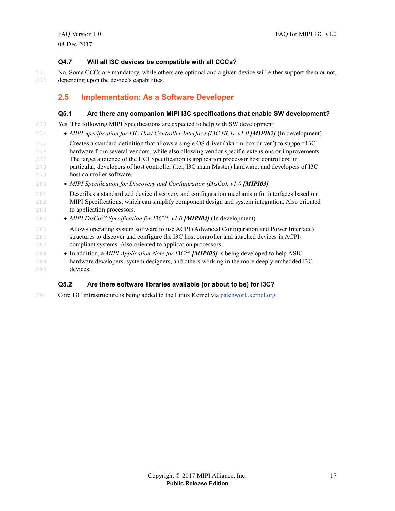#### <span id="page-16-0"></span>**Q4.7 Will all I3C devices be compatible with all CCCs?**

271 No. Some CCCs are mandatory, while others are optional and a given device will either support them or not, 272 depending upon the device's capabilities.

# <span id="page-16-2"></span><span id="page-16-1"></span>**2.5 Implementation: As a Software Developer**

#### **Q5.1 Are there any companion MIPI I3C specifications that enable SW development?**

- 273 Yes. The following MIPI Specifications are expected to help with SW development:
- 274 *MIPI Specification for I3C Host Controller Interface (I3C HCI), v1.0 [\[MIPI02\]](#page-25-2)* (In development)
- 275 Creates a standard definition that allows a single OS driver (aka 'in-box driver') to support I3C 276 hardware from several vendors, while also allowing vendor-specific extensions or improvements.<br>277 **harmonic in the target audience of the HCI Specification is application processor host controllers: in** The target audience of the HCI Specification is application processor host controllers; in 278 particular, developers of host controller (i.e., I3C main Master) hardware, and developers of I3C 279 host controller software.
- 280 *MIPI Specification for Discovery and Configuration (DisCo), v1.0 [\[MIPI03\]](#page-25-3)*
- 281 Describes a standardized device discovery and configuration mechanism for interfaces based on 282 MIPI Specifications, which can simplify component design and system integration. Also oriented 282 MIPI Specifications, which can simplify component design and system integration. Also oriented 283 to application processors.
- *MIPI DisCoSM Specification for I3CSM* 284 *, v1.0 [\[MIPI04\]](#page-25-4)* (In development)
- 285 Allows operating system software to use ACPI (Advanced Configuration and Power Interface) 286 structures to discover and configure the I3C host controller and attached devices in ACPI-<br>287 compliant systems. Also oriented to application processors. compliant systems. Also oriented to application processors.
- 288 In addition, a *MIPI Application Note for I3C<sup>SM</sup> [\[MIPI05\]](#page-25-5)* is being developed to help ASIC 289 hardware developers, system designers, and others working in the more deeply embedded I3C<br>290 devices. devices.

#### <span id="page-16-3"></span>**Q5.2 Are there software libraries available (or about to be) for I3C?**

291 Core I3C infrastructure is being added to the Linux Kernel via [patchwork.kernel.org.](http://patchwork.kernel.org/)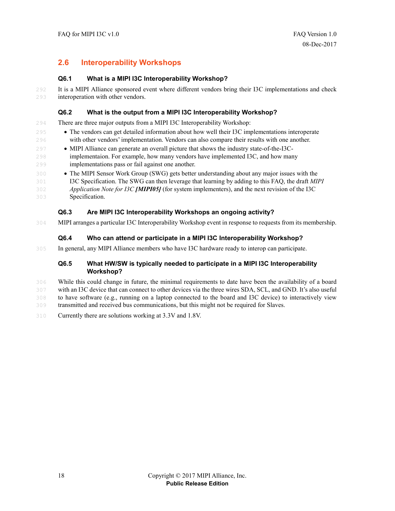# <span id="page-17-0"></span>**2.6 Interoperability Workshops**

#### <span id="page-17-1"></span>**Q6.1 What is a MIPI I3C Interoperability Workshop?**

 It is a MIPI Alliance sponsored event where different vendors bring their I3C implementations and check interoperation with other vendors.

#### <span id="page-17-2"></span>**Q6.2 What is the output from a MIPI I3C Interoperability Workshop?**

- There are three major outputs from a MIPI I3C Interoperability Workshop:
- The vendors can get detailed information about how well their I3C implementations interoperate with other vendors' implementation. Vendors can also compare their results with one another.
- MIPI Alliance can generate an overall picture that shows the industry state-of-the-I3C- implementaion. For example, how many vendors have implemented I3C, and how many implementations pass or fail against one another.
- The MIPI Sensor Work Group (SWG) gets better understanding about any major issues with the I3C Specification. The SWG can then leverage that learning by adding to this FAQ, the draft *MIPI Application Note for I3C [\[MIPI05\]](#page-25-5)* (for system implementers), and the next revision of the I3C Specification.

#### <span id="page-17-3"></span>**Q6.3 Are MIPI I3C Interoperability Workshops an ongoing activity?**

MIPI arranges a particular I3C Interoperability Workshop event in response to requests from its membership.

#### <span id="page-17-4"></span>**Q6.4 Who can attend or participate in a MIPI I3C Interoperability Workshop?**

In general, any MIPI Alliance members who have I3C hardware ready to interop can participate.

#### <span id="page-17-5"></span>**Q6.5 What HW/SW is typically needed to participate in a MIPI I3C Interoperability Workshop?**

- While this could change in future, the minimal requirements to date have been the availability of a board with an I3C device that can connect to other devices via the three wires SDA, SCL, and GND. It's also useful
- to have software (e.g., running on a laptop connected to the board and I3C device) to interactively view
- transmitted and received bus communications, but this might not be required for Slaves.
- Currently there are solutions working at 3.3V and 1.8V.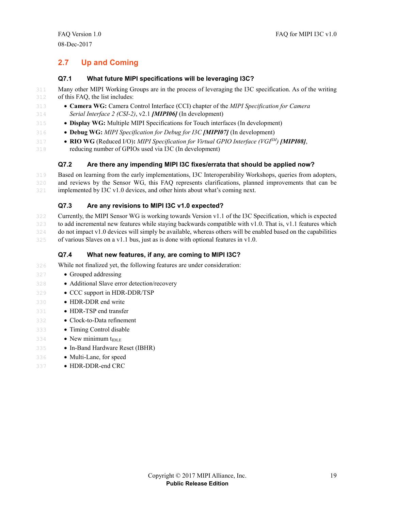# <span id="page-18-0"></span>**2.7 Up and Coming**

#### <span id="page-18-1"></span>**Q7.1 What future MIPI specifications will be leveraging I3C?**

311 Many other MIPI Working Groups are in the process of leveraging the I3C specification. As of the writing 312 of this FAQ, the list includes:

- 313 **Camera WG:** Camera Control Interface (CCI) chapter of the *MIPI Specification for Camera*  314 *Serial Interface 2 (CSI-2)*, v2.1 *[\[MIPI06\]](#page-25-6)* (In development)
- 315 **Display WG:** Multiple MIPI Specifications for Touch interfaces (In development)
- 316 **Debug WG:** *MIPI Specification for Debug for I3C [\[MIPI07\]](#page-25-7)* (In development)
- **RIO WG** (Reduced I/O): *MIPI Specification for Virtual GPIO Interface (VGI<sup>SM</sup>) [\[MIPI08\]](#page-25-8),<br>318 <i>reducing number of GPIOs used via I3C* (In development) reducing number of GPIOs used via I3C (In development)

#### <span id="page-18-2"></span>**Q7.2 Are there any impending MIPI I3C fixes/errata that should be applied now?**

319 Based on learning from the early implementations, I3C Interoperability Workshops, queries from adopters, 320 and reviews by the Sensor WG, this FAQ represents clarifications, planned improvements that can be  $321$  implemented by I3C v1.0 devices, and other hints about what's coming next.

#### <span id="page-18-3"></span>**Q7.3 Are any revisions to MIPI I3C v1.0 expected?**

 Currently, the MIPI Sensor WG is working towards Version v1.1 of the I3C Specification, which is expected to add incremental new features while staying backwards compatible with v1.0. That is, v1.1 features which do not impact v1.0 devices will simply be available, whereas others will be enabled based on the capabilities of various Slaves on a v1.1 bus, just as is done with optional features in v1.0. of various Slaves on a v1.1 bus, just as is done with optional features in v1.0.

#### <span id="page-18-4"></span>**Q7.4 What new features, if any, are coming to MIPI I3C?**

326 While not finalized yet, the following features are under consideration:

- 327 Grouped addressing
- 328 Additional Slave error detection/recovery
- 329 CCC support in HDR-DDR/TSP
- 330 HDR-DDR end write
- 331 HDR-TSP end transfer
- 332 Clock-to-Data refinement
- 333 Timing Control disable
- $334$  New minimum t<sub>IDLE</sub>
- 335 In-Band Hardware Reset (IBHR)
- 336 Multi-Lane, for speed
- 337 HDR-DDR-end CRC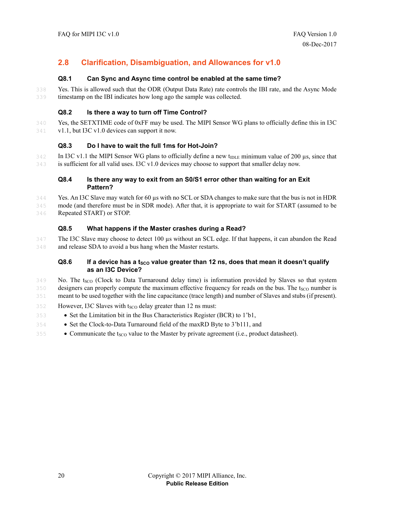# <span id="page-19-1"></span><span id="page-19-0"></span>**2.8 Clarification, Disambiguation, and Allowances for v1.0**

#### **Q8.1 Can Sync and Async time control be enabled at the same time?**

338 Yes. This is allowed such that the ODR (Output Data Rate) rate controls the IBI rate, and the Async Mode 339 timestamp on the IBI indicates how long ago the sample was collected.

#### <span id="page-19-2"></span>**Q8.2 Is there a way to turn off Time Control?**

340 Yes, the SETXTIME code of 0xFF may be used. The MIPI Sensor WG plans to officially define this in I3C 341 v1.1, but I3C v1.0 devices can support it now.

#### <span id="page-19-3"></span>**Q8.3 Do I have to wait the full 1ms for Hot-Join?**

342 In I3C v1.1 the MIPI Sensor WG plans to officially define a new t<sub>IDLE</sub> minimum value of 200 µs, since that is sufficient for all valid uses. I3C v1.0 devices may choose to support that smaller delay now. is sufficient for all valid uses. I3C v1.0 devices may choose to support that smaller delay now.

#### <span id="page-19-4"></span>**Q8.4 Is there any way to exit from an S0/S1 error other than waiting for an Exit Pattern?**

- 344 Yes. An I3C Slave may watch for 60 us with no SCL or SDA changes to make sure that the bus is not in HDR 345 mode (and therefore must be in SDR mode). After that, it is appropriate to wait for START (assumed to be
- 346 Repeated START) or STOP.

#### <span id="page-19-5"></span>**Q8.5 What happens if the Master crashes during a Read?**

347 The I3C Slave may choose to detect 100 µs without an SCL edge. If that happens, it can abandon the Read 348 and release SDA to avoid a bus hang when the Master restarts.

#### <span id="page-19-6"></span>**Q8.6 If a device has a t<sub>sco</sub> value greater than 12 ns, does that mean it doesn't qualify as an I3C Device?**

- 349 No. The t<sub>SCO</sub> (Clock to Data Turnaround delay time) is information provided by Slaves so that system 350 designers can properly compute the maximum effective frequency for reads on the bus. The t<sub>SCO</sub> number is 351 meant to be used together with the line capacitance (trace length) and number of Slaves and stubs (if present).
- $352$  However, I3C Slaves with t<sub>sco</sub> delay greater than 12 ns must:
- 353 Set the Limitation bit in the Bus Characteristics Register (BCR) to 1'b1,
- 354 Set the Clock-to-Data Turnaround field of the maxRD Byte to 3'b111, and
- $355$  Communicate the t<sub>SCO</sub> value to the Master by private agreement (i.e., product datasheet).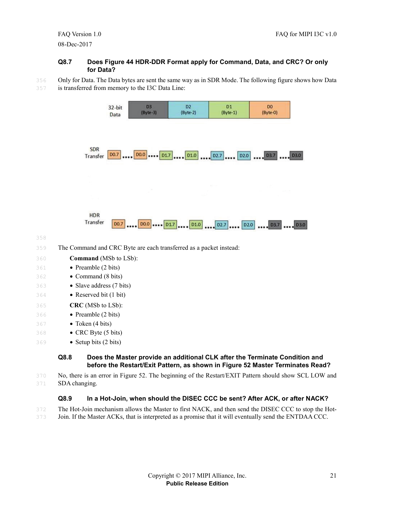#### <span id="page-20-0"></span>**Q8.7 Does Figure 44 HDR-DDR Format apply for Command, Data, and CRC? Or only for Data?**

356 Only for Data. The Data bytes are sent the same way as in SDR Mode. The following figure shows how Data 357 is transferred from memory to the I3C Data Line:



- 367 Token (4 bits)
- 368 CRC Byte (5 bits)
- 369 Setup bits (2 bits)

#### <span id="page-20-1"></span>**Q8.8 Does the Master provide an additional CLK after the Terminate Condition and before the Restart/Exit Pattern, as shown in Figure 52 Master Terminates Read?**

370 No, there is an error in Figure 52. The beginning of the Restart/EXIT Pattern should show SCL LOW and SDA changing. SDA changing.

#### <span id="page-20-2"></span>**Q8.9 In a Hot-Join, when should the DISEC CCC be sent? After ACK, or after NACK?**

372 The Hot-Join mechanism allows the Master to first NACK, and then send the DISEC CCC to stop the Hot-373 Join. If the Master ACKs, that is interpreted as a promise that it will eventually send the ENTDAA CCC.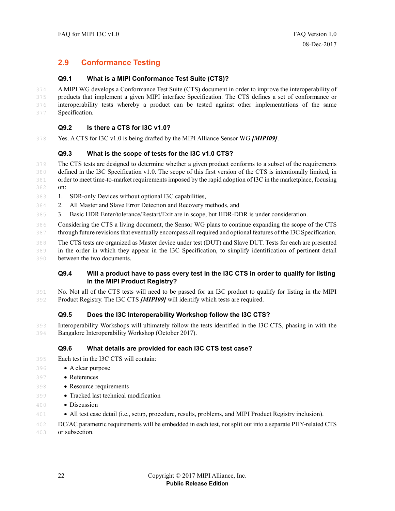# <span id="page-21-0"></span>**2.9 Conformance Testing**

#### <span id="page-21-1"></span>**Q9.1 What is a MIPI Conformance Test Suite (CTS)?**

 A MIPI WG develops a Conformance Test Suite (CTS) document in order to improve the interoperability of products that implement a given MIPI interface Specification. The CTS defines a set of conformance or interoperability tests whereby a product can be tested against other implementations of the same 377 Specification.

#### <span id="page-21-2"></span>**Q9.2 Is there a CTS for I3C v1.0?**

Yes. A CTS for I3C v1.0 is being drafted by the MIPI Alliance Sensor WG *[\[MIPI09\]](#page-25-9)*.

#### <span id="page-21-3"></span>**Q9.3 What is the scope of tests for the I3C v1.0 CTS?**

- The CTS tests are designed to determine whether a given product conforms to a subset of the requirements defined in the I3C Specification v1.0. The scope of this first version of the CTS is intentionally limited, in order to meet time-to-market requirements imposed by the rapid adoption of I3C in the marketplace, focusing on:
- 1. SDR-only Devices without optional I3C capabilities,
- 2. All Master and Slave Error Detection and Recovery methods, and
- 3. Basic HDR Enter/tolerance/Restart/Exit are in scope, but HDR-DDR is under consideration.
- Considering the CTS a living document, the Sensor WG plans to continue expanding the scope of the CTS through future revisions that eventually encompass all required and optional features of the I3C Specification.
- The CTS tests are organized as Master device under test (DUT) and Slave DUT. Tests for each are presented in the order in which they appear in the I3C Specification, to simplify identification of pertinent detail
- between the two documents.

#### <span id="page-21-4"></span>**Q9.4 Will a product have to pass every test in the I3C CTS in order to qualify for listing in the MIPI Product Registry?**

 No. Not all of the CTS tests will need to be passed for an I3C product to qualify for listing in the MIPI Product Registry. The I3C CTS *[\[MIPI09\]](#page-25-9)* will identify which tests are required.

#### <span id="page-21-5"></span>**Q9.5 Does the I3C Interoperability Workshop follow the I3C CTS?**

 Interoperability Workshops will ultimately follow the tests identified in the I3C CTS, phasing in with the Bangalore Interoperability Workshop (October 2017).

#### <span id="page-21-6"></span>**Q9.6 What details are provided for each I3C CTS test case?**

- Each test in the I3C CTS will contain:
- A clear purpose
- References
- Resource requirements
- Tracked last technical modification
- Discussion
- All test case detail (i.e., setup, procedure, results, problems, and MIPI Product Registry inclusion).
- DC/AC parametric requirements will be embedded in each test, not split out into a separate PHY-related CTS
- or subsection.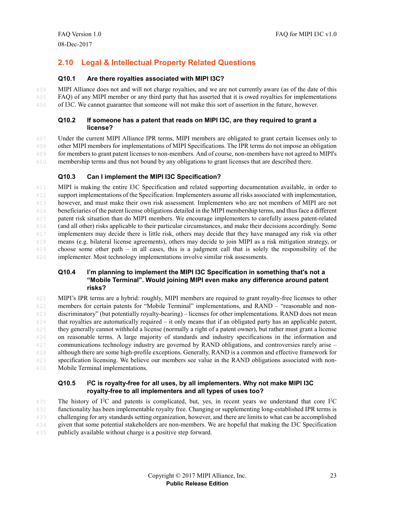# <span id="page-22-0"></span>**2.10 Legal & Intellectual Property Related Questions**

#### <span id="page-22-1"></span>**Q10.1 Are there royalties associated with MIPI I3C?**

 MIPI Alliance does not and will not charge royalties, and we are not currently aware (as of the date of this FAQ) of any MIPI member or any third party that has asserted that it is owed royalties for implementations of I3C. We cannot guarantee that someone will not make this sort of assertion in the future, however.

#### <span id="page-22-2"></span>**Q10.2 If someone has a patent that reads on MIPI I3C, are they required to grant a license?**

 Under the current MIPI Alliance IPR terms, MIPI members are obligated to grant certain licenses only to other MIPI members for implementations of MIPI Specifications. The IPR terms do not impose an obligation for members to grant patent licenses to non-members. And of course, non-members have not agreed to MIPI's membership terms and thus not bound by any obligations to grant licenses that are described there.

#### <span id="page-22-3"></span>**Q10.3 Can I implement the MIPI I3C Specification?**

 MIPI is making the entire I3C Specification and related supporting documentation available, in order to support implementations of the Specification. Implementers assume all risks associated with implementation, however, and must make their own risk assessment. Implementers who are not members of MIPI are not beneficiaries of the patent license obligations detailed in the MIPI membership terms, and thus face a different patent risk situation than do MIPI members. We encourage implementers to carefully assess patent-related (and all other) risks applicable to their particular circumstances, and make their decisions accordingly. Some implementers may decide there is little risk, others may decide that they have managed any risk via other means (e.g. bilateral license agreements), others may decide to join MIPI as a risk mitigation strategy, or choose some other path – in all cases, this is a judgment call that is solely the responsibility of the implementer. Most technology implementations involve similar risk assessments.

#### <span id="page-22-4"></span>**Q10.4 I'm planning to implement the MIPI I3C Specification in something that's not a "Mobile Terminal". Would joining MIPI even make any difference around patent risks?**

 MIPI's IPR terms are a hybrid: roughly, MIPI members are required to grant royalty-free licenses to other members for certain patents for "Mobile Terminal" implementations, and RAND – "reasonable and non- discriminatory" (but potentially royalty-bearing) – licenses for other implementations. RAND does not mean that royalties are automatically required – it only means that if an obligated party has an applicable patent, they generally cannot withhold a license (normally a right of a patent owner), but rather must grant a license on reasonable terms. A large majority of standards and industry specifications in the information and 427 communications technology industry are governed by RAND obligations, and controversies rarely arise – although there are some high-profile exceptions. Generally, RAND is a common and effective framework for 429 specification licensing. We believe our members see value in the RAND obligations associated with non-Mobile Terminal implementations.

#### <span id="page-22-5"></span>**Q10.5 I 2C is royalty-free for all uses, by all implementers. Why not make MIPI I3C royalty-free to all implementers and all types of uses too?**

431 The history of I<sup>2</sup>C and patents is complicated, but, yes, in recent years we understand that core I<sup>2</sup>C functionality has been implementable royalty free. Changing or supplementing long-established IPR terms is challenging for any standards setting organization, however, and there are limits to what can be accomplished given that some potential stakeholders are non-members. We are hopeful that making the I3C Specification publicly available without charge is a positive step forward.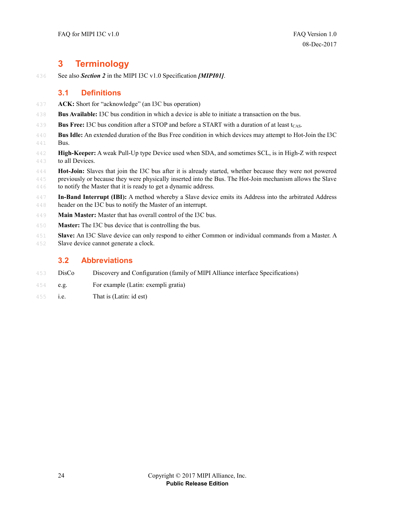# <span id="page-23-0"></span>**Terminology**

See also *Section 2* in the MIPI I3C v1.0 Specification *[\[MIPI01\]](#page-25-1)*.

# <span id="page-23-1"></span>**3.1 Definitions**

- **ACK:** Short for "acknowledge" (an I3C bus operation)
- **Bus Available:** I3C bus condition in which a device is able to initiate a transaction on the bus.
- 439 **Bus Free:** I3C bus condition after a STOP and before a START with a duration of at least t<sub>CAS</sub>.
- **Bus Idle:** An extended duration of the Bus Free condition in which devices may attempt to Hot-Join the I3C Bus.
- **High-Keeper:** A weak Pull-Up type Device used when SDA, and sometimes SCL, is in High-Z with respect to all Devices.
- **Hot-Join:** Slaves that join the I3C bus after it is already started, whether because they were not powered previously or because they were physically inserted into the Bus. The Hot-Join mechanism allows the Slave 446 to notify the Master that it is ready to get a dynamic address.
- **In-Band Interrupt (IBI):** A method whereby a Slave device emits its Address into the arbitrated Address header on the I3C bus to notify the Master of an interrupt.
- **Main Master:** Master that has overall control of the I3C bus.
- **Master:** The I3C bus device that is controlling the bus.
- **Slave:** An I3C Slave device can only respond to either Common or individual commands from a Master. A
- Slave device cannot generate a clock.

# <span id="page-23-2"></span>**3.2 Abbreviations**

- DisCo Discovery and Configuration (family of MIPI Alliance interface Specifications)
- e.g. For example (Latin: exempli gratia)
- i.e. That is (Latin: id est)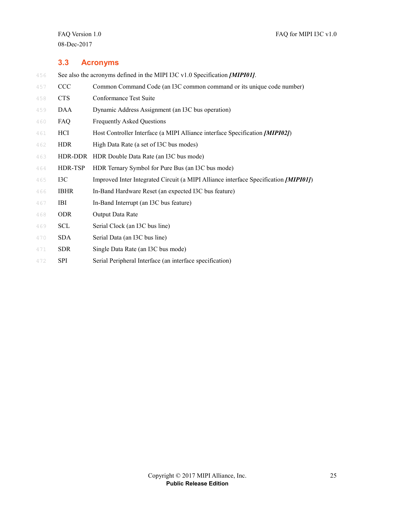# <span id="page-24-0"></span>**3.3 Acronyms**

- See also the acronyms defined in the MIPI I3C v1.0 Specification *[\[MIPI01\]](#page-25-1)*.
- CCC Common Command Code (an I3C common command or its unique code number)
- CTS Conformance Test Suite
- DAA Dynamic Address Assignment (an I3C bus operation)
- FAQ Frequently Asked Questions
- HCI Host Controller Interface (a MIPI Alliance interface Specification *[\[MIPI02\]](#page-25-2)*)
- HDR High Data Rate (a set of I3C bus modes)
- HDR-DDR HDR Double Data Rate (an I3C bus mode)
- HDR-TSP HDR Ternary Symbol for Pure Bus (an I3C bus mode)
- I3C Improved Inter Integrated Circuit (a MIPI Alliance interface Specification *[\[MIPI01\]](#page-25-1)*)
- IBHR In-Band Hardware Reset (an expected I3C bus feature)
- IBI In-Band Interrupt (an I3C bus feature)
- ODR Output Data Rate
- SCL Serial Clock (an I3C bus line)
- SDA Serial Data (an I3C bus line)
- SDR Single Data Rate (an I3C bus mode)
- SPI Serial Peripheral Interface (an interface specification)